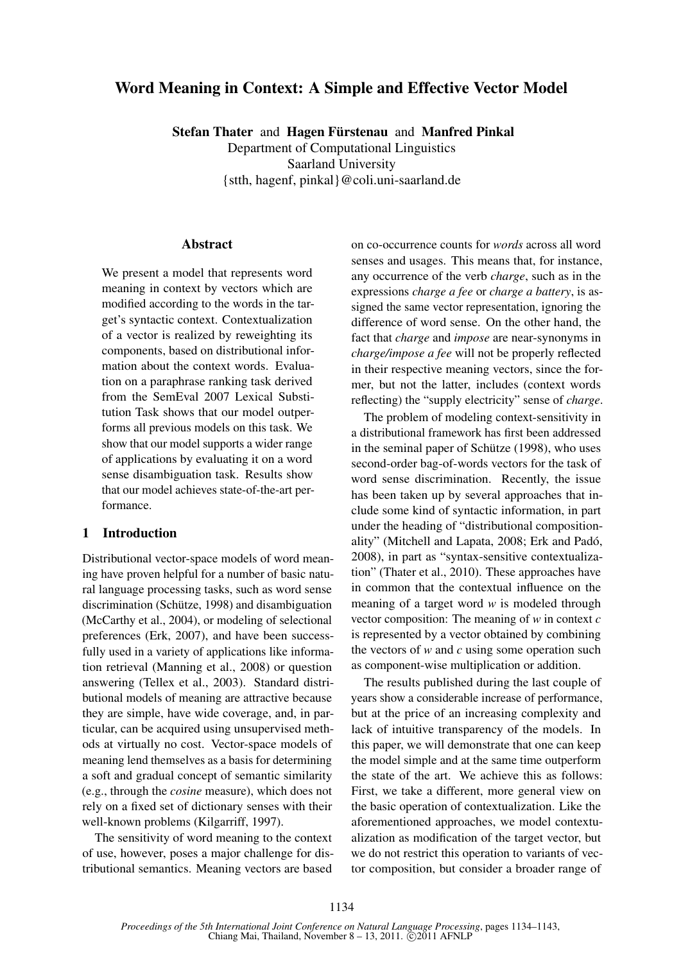# Word Meaning in Context: A Simple and Effective Vector Model

Stefan Thater and Hagen Fürstenau and Manfred Pinkal Department of Computational Linguistics

Saarland University

{stth, hagenf, pinkal}@coli.uni-saarland.de

### Abstract

We present a model that represents word meaning in context by vectors which are modified according to the words in the target's syntactic context. Contextualization of a vector is realized by reweighting its components, based on distributional information about the context words. Evaluation on a paraphrase ranking task derived from the SemEval 2007 Lexical Substitution Task shows that our model outperforms all previous models on this task. We show that our model supports a wider range of applications by evaluating it on a word sense disambiguation task. Results show that our model achieves state-of-the-art performance.

## 1 Introduction

Distributional vector-space models of word meaning have proven helpful for a number of basic natural language processing tasks, such as word sense discrimination (Schütze, 1998) and disambiguation (McCarthy et al., 2004), or modeling of selectional preferences (Erk, 2007), and have been successfully used in a variety of applications like information retrieval (Manning et al., 2008) or question answering (Tellex et al., 2003). Standard distributional models of meaning are attractive because they are simple, have wide coverage, and, in particular, can be acquired using unsupervised methods at virtually no cost. Vector-space models of meaning lend themselves as a basis for determining a soft and gradual concept of semantic similarity (e.g., through the *cosine* measure), which does not rely on a fixed set of dictionary senses with their well-known problems (Kilgarriff, 1997).

The sensitivity of word meaning to the context of use, however, poses a major challenge for distributional semantics. Meaning vectors are based on co-occurrence counts for *words* across all word senses and usages. This means that, for instance, any occurrence of the verb *charge*, such as in the expressions *charge a fee* or *charge a battery*, is assigned the same vector representation, ignoring the difference of word sense. On the other hand, the fact that *charge* and *impose* are near-synonyms in *charge/impose a fee* will not be properly reflected in their respective meaning vectors, since the former, but not the latter, includes (context words reflecting) the "supply electricity" sense of *charge*.

The problem of modeling context-sensitivity in a distributional framework has first been addressed in the seminal paper of Schütze (1998), who uses second-order bag-of-words vectors for the task of word sense discrimination. Recently, the issue has been taken up by several approaches that include some kind of syntactic information, in part under the heading of "distributional compositionality" (Mitchell and Lapata, 2008; Erk and Padó, 2008), in part as "syntax-sensitive contextualization" (Thater et al., 2010). These approaches have in common that the contextual influence on the meaning of a target word *w* is modeled through vector composition: The meaning of *w* in context *c* is represented by a vector obtained by combining the vectors of *w* and *c* using some operation such as component-wise multiplication or addition.

The results published during the last couple of years show a considerable increase of performance, but at the price of an increasing complexity and lack of intuitive transparency of the models. In this paper, we will demonstrate that one can keep the model simple and at the same time outperform the state of the art. We achieve this as follows: First, we take a different, more general view on the basic operation of contextualization. Like the aforementioned approaches, we model contextualization as modification of the target vector, but we do not restrict this operation to variants of vector composition, but consider a broader range of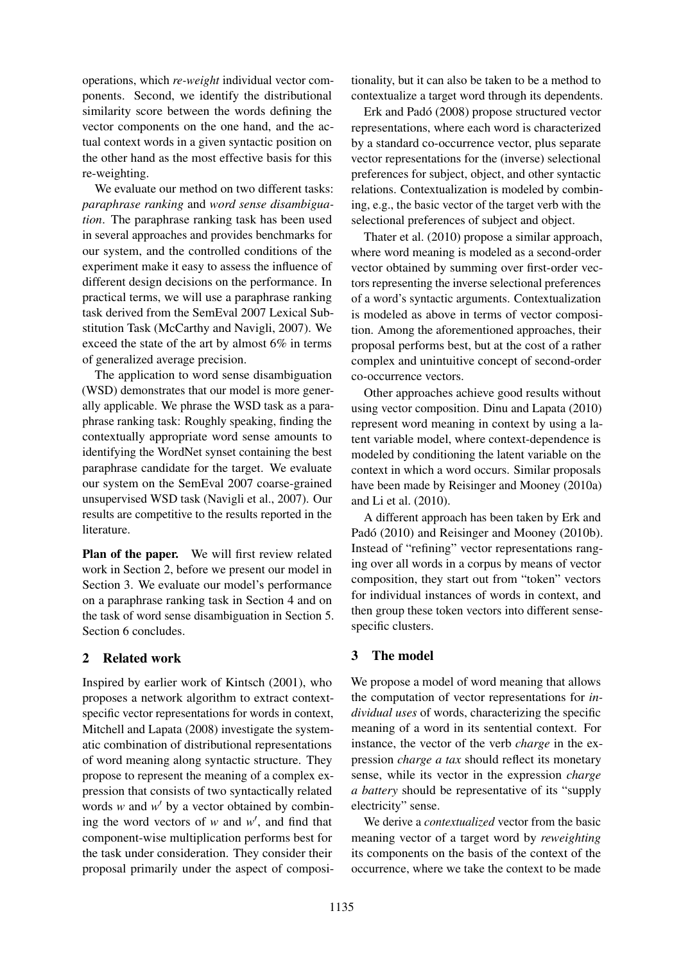operations, which *re-weight* individual vector components. Second, we identify the distributional similarity score between the words defining the vector components on the one hand, and the actual context words in a given syntactic position on the other hand as the most effective basis for this re-weighting.

We evaluate our method on two different tasks: *paraphrase ranking* and *word sense disambiguation*. The paraphrase ranking task has been used in several approaches and provides benchmarks for our system, and the controlled conditions of the experiment make it easy to assess the influence of different design decisions on the performance. In practical terms, we will use a paraphrase ranking task derived from the SemEval 2007 Lexical Substitution Task (McCarthy and Navigli, 2007). We exceed the state of the art by almost 6% in terms of generalized average precision.

The application to word sense disambiguation (WSD) demonstrates that our model is more generally applicable. We phrase the WSD task as a paraphrase ranking task: Roughly speaking, finding the contextually appropriate word sense amounts to identifying the WordNet synset containing the best paraphrase candidate for the target. We evaluate our system on the SemEval 2007 coarse-grained unsupervised WSD task (Navigli et al., 2007). Our results are competitive to the results reported in the literature.

Plan of the paper. We will first review related work in Section 2, before we present our model in Section 3. We evaluate our model's performance on a paraphrase ranking task in Section 4 and on the task of word sense disambiguation in Section 5. Section 6 concludes.

## 2 Related work

Inspired by earlier work of Kintsch (2001), who proposes a network algorithm to extract contextspecific vector representations for words in context, Mitchell and Lapata (2008) investigate the systematic combination of distributional representations of word meaning along syntactic structure. They propose to represent the meaning of a complex expression that consists of two syntactically related words  $w$  and  $w'$  by a vector obtained by combining the word vectors of  $w$  and  $w'$ , and find that component-wise multiplication performs best for the task under consideration. They consider their proposal primarily under the aspect of composi-

tionality, but it can also be taken to be a method to contextualize a target word through its dependents.

Erk and Padó (2008) propose structured vector representations, where each word is characterized by a standard co-occurrence vector, plus separate vector representations for the (inverse) selectional preferences for subject, object, and other syntactic relations. Contextualization is modeled by combining, e.g., the basic vector of the target verb with the selectional preferences of subject and object.

Thater et al. (2010) propose a similar approach, where word meaning is modeled as a second-order vector obtained by summing over first-order vectors representing the inverse selectional preferences of a word's syntactic arguments. Contextualization is modeled as above in terms of vector composition. Among the aforementioned approaches, their proposal performs best, but at the cost of a rather complex and unintuitive concept of second-order co-occurrence vectors.

Other approaches achieve good results without using vector composition. Dinu and Lapata (2010) represent word meaning in context by using a latent variable model, where context-dependence is modeled by conditioning the latent variable on the context in which a word occurs. Similar proposals have been made by Reisinger and Mooney (2010a) and Li et al. (2010).

A different approach has been taken by Erk and Padó (2010) and Reisinger and Mooney (2010b). Instead of "refining" vector representations ranging over all words in a corpus by means of vector composition, they start out from "token" vectors for individual instances of words in context, and then group these token vectors into different sensespecific clusters.

# 3 The model

We propose a model of word meaning that allows the computation of vector representations for *individual uses* of words, characterizing the specific meaning of a word in its sentential context. For instance, the vector of the verb *charge* in the expression *charge a tax* should reflect its monetary sense, while its vector in the expression *charge a battery* should be representative of its "supply electricity" sense.

We derive a *contextualized* vector from the basic meaning vector of a target word by *reweighting* its components on the basis of the context of the occurrence, where we take the context to be made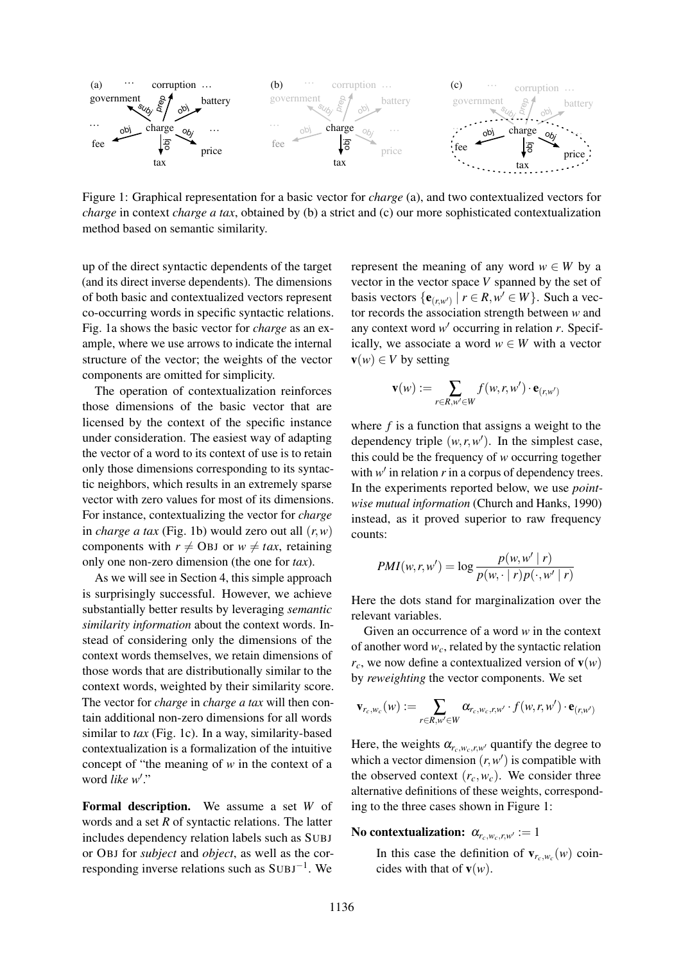

Figure 1: Graphical representation for a basic vector for *charge* (a), and two contextualized vectors for *charge* in context *charge a tax*, obtained by (b) a strict and (c) our more sophisticated contextualization method based on semantic similarity.

up of the direct syntactic dependents of the target (and its direct inverse dependents). The dimensions of both basic and contextualized vectors represent co-occurring words in specific syntactic relations. Fig. 1a shows the basic vector for *charge* as an example, where we use arrows to indicate the internal structure of the vector; the weights of the vector components are omitted for simplicity.

The operation of contextualization reinforces those dimensions of the basic vector that are licensed by the context of the specific instance under consideration. The easiest way of adapting the vector of a word to its context of use is to retain only those dimensions corresponding to its syntactic neighbors, which results in an extremely sparse vector with zero values for most of its dimensions. For instance, contextualizing the vector for *charge* in *charge a tax* (Fig. 1b) would zero out all  $(r, w)$ components with  $r \neq$  OBJ or  $w \neq tax$ , retaining only one non-zero dimension (the one for *tax*).

As we will see in Section 4, this simple approach is surprisingly successful. However, we achieve substantially better results by leveraging *semantic similarity information* about the context words. Instead of considering only the dimensions of the context words themselves, we retain dimensions of those words that are distributionally similar to the context words, weighted by their similarity score. The vector for *charge* in *charge a tax* will then contain additional non-zero dimensions for all words similar to *tax* (Fig. 1c). In a way, similarity-based contextualization is a formalization of the intuitive concept of "the meaning of *w* in the context of a word *like* w'."

Formal description. We assume a set *W* of words and a set *R* of syntactic relations. The latter includes dependency relation labels such as SUBJ or OBJ for *subject* and *object*, as well as the corresponding inverse relations such as SUBJ<sup>-1</sup>. We

represent the meaning of any word  $w \in W$  by a vector in the vector space *V* spanned by the set of basis vectors  $\{e_{(r,w')} \mid r \in R, w' \in W\}$ . Such a vector records the association strength between *w* and any context word  $w'$  occurring in relation  $r$ . Specifically, we associate a word  $w \in W$  with a vector  $\mathbf{v}(w) \in V$  by setting

$$
\mathbf{v}(w) := \sum_{r \in R, w' \in W} f(w, r, w') \cdot \mathbf{e}_{(r, w')}
$$

where *f* is a function that assigns a weight to the dependency triple  $(w, r, w')$ . In the simplest case, this could be the frequency of *w* occurring together with  $w'$  in relation  $r$  in a corpus of dependency trees. In the experiments reported below, we use *pointwise mutual information* (Church and Hanks, 1990) instead, as it proved superior to raw frequency counts:

$$
PMI(w,r,w') = \log \frac{p(w,w' \mid r)}{p(w,\cdot \mid r)p(\cdot, w' \mid r)}
$$

Here the dots stand for marginalization over the relevant variables.

Given an occurrence of a word *w* in the context of another word  $w_c$ , related by the syntactic relation  $r_c$ , we now define a contextualized version of  $\mathbf{v}(w)$ by *reweighting* the vector components. We set

$$
\mathbf{v}_{r_c,w_c}(w) := \sum_{r \in R,w' \in W} \alpha_{r_c,w_c,r,w'} \cdot f(w,r,w') \cdot \mathbf{e}_{(r,w')}
$$

Here, the weights  $\alpha_{r_c,w_c,r,w'}$  quantify the degree to which a vector dimension  $(r, w')$  is compatible with the observed context  $(r_c, w_c)$ . We consider three alternative definitions of these weights, corresponding to the three cases shown in Figure 1:

### No contextualization:  $\alpha_{r_c,w_c,r,w'} := 1$

In this case the definition of  $\mathbf{v}_{r_c,w_c}(w)$  coincides with that of  $\mathbf{v}(w)$ .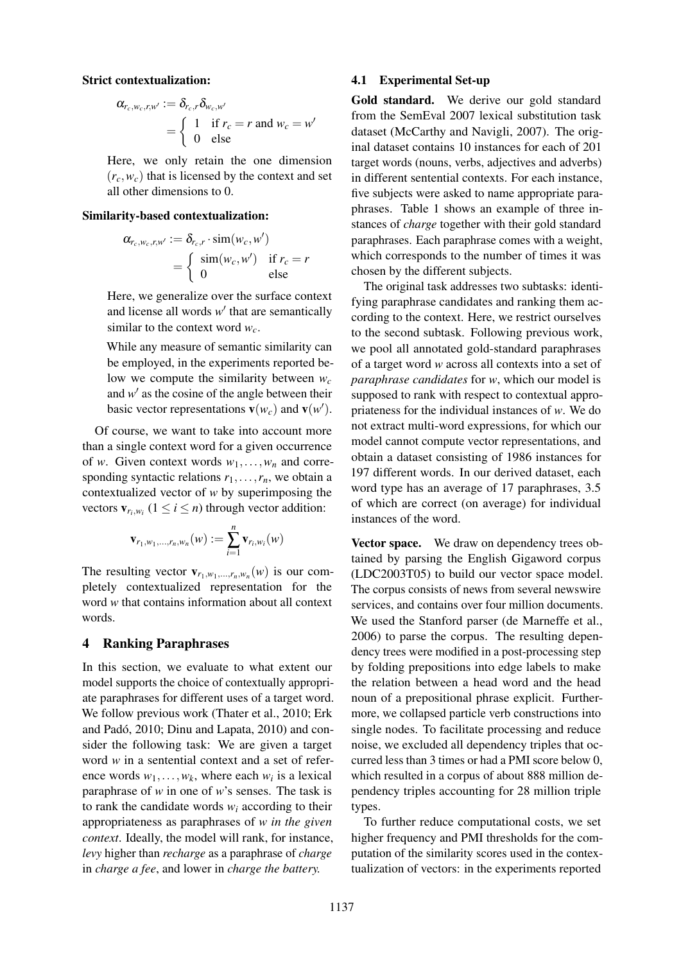#### Strict contextualization:

$$
\alpha_{r_c, w_c, r, w'} := \delta_{r_c, r} \delta_{w_c, w'}
$$
  
= 
$$
\begin{cases} 1 & \text{if } r_c = r \text{ and } w_c = w' \\ 0 & \text{else} \end{cases}
$$

Here, we only retain the one dimension  $(r_c, w_c)$  that is licensed by the context and set all other dimensions to 0.

#### Similarity-based contextualization:

$$
\alpha_{r_c, w_c, r, w'} := \delta_{r_c, r} \cdot \text{sim}(w_c, w')
$$
  
= 
$$
\begin{cases} \text{sim}(w_c, w') & \text{if } r_c = r \\ 0 & \text{else} \end{cases}
$$

Here, we generalize over the surface context and license all words  $w'$  that are semantically similar to the context word *wc*.

While any measure of semantic similarity can be employed, in the experiments reported below we compute the similarity between *w<sup>c</sup>* and  $w'$  as the cosine of the angle between their basic vector representations  $\mathbf{v}(w_c)$  and  $\mathbf{v}(w')$ .

Of course, we want to take into account more than a single context word for a given occurrence of *w*. Given context words  $w_1, \ldots, w_n$  and corresponding syntactic relations  $r_1, \ldots, r_n$ , we obtain a contextualized vector of *w* by superimposing the vectors  $\mathbf{v}_{r_i,w_i}$   $(1 \leq i \leq n)$  through vector addition:

$$
\mathbf{v}_{r_1,w_1,...,r_n,w_n}(w) := \sum_{i=1}^n \mathbf{v}_{r_i,w_i}(w)
$$

The resulting vector  $\mathbf{v}_{r_1,w_1,...,r_n,w_n}(w)$  is our completely contextualized representation for the word *w* that contains information about all context words.

#### 4 Ranking Paraphrases

In this section, we evaluate to what extent our model supports the choice of contextually appropriate paraphrases for different uses of a target word. We follow previous work (Thater et al., 2010; Erk and Padó, 2010; Dinu and Lapata, 2010) and consider the following task: We are given a target word *w* in a sentential context and a set of reference words  $w_1, \ldots, w_k$ , where each  $w_i$  is a lexical paraphrase of *w* in one of *w*'s senses. The task is to rank the candidate words  $w_i$  according to their appropriateness as paraphrases of *w in the given context*. Ideally, the model will rank, for instance, *levy* higher than *recharge* as a paraphrase of *charge* in *charge a fee*, and lower in *charge the battery.*

### 4.1 Experimental Set-up

Gold standard. We derive our gold standard from the SemEval 2007 lexical substitution task dataset (McCarthy and Navigli, 2007). The original dataset contains 10 instances for each of 201 target words (nouns, verbs, adjectives and adverbs) in different sentential contexts. For each instance, five subjects were asked to name appropriate paraphrases. Table 1 shows an example of three instances of *charge* together with their gold standard paraphrases. Each paraphrase comes with a weight, which corresponds to the number of times it was chosen by the different subjects.

The original task addresses two subtasks: identifying paraphrase candidates and ranking them according to the context. Here, we restrict ourselves to the second subtask. Following previous work, we pool all annotated gold-standard paraphrases of a target word *w* across all contexts into a set of *paraphrase candidates* for *w*, which our model is supposed to rank with respect to contextual appropriateness for the individual instances of *w*. We do not extract multi-word expressions, for which our model cannot compute vector representations, and obtain a dataset consisting of 1986 instances for 197 different words. In our derived dataset, each word type has an average of 17 paraphrases, 3.5 of which are correct (on average) for individual instances of the word.

Vector space. We draw on dependency trees obtained by parsing the English Gigaword corpus (LDC2003T05) to build our vector space model. The corpus consists of news from several newswire services, and contains over four million documents. We used the Stanford parser (de Marneffe et al., 2006) to parse the corpus. The resulting dependency trees were modified in a post-processing step by folding prepositions into edge labels to make the relation between a head word and the head noun of a prepositional phrase explicit. Furthermore, we collapsed particle verb constructions into single nodes. To facilitate processing and reduce noise, we excluded all dependency triples that occurred less than 3 times or had a PMI score below 0, which resulted in a corpus of about 888 million dependency triples accounting for 28 million triple types.

To further reduce computational costs, we set higher frequency and PMI thresholds for the computation of the similarity scores used in the contextualization of vectors: in the experiments reported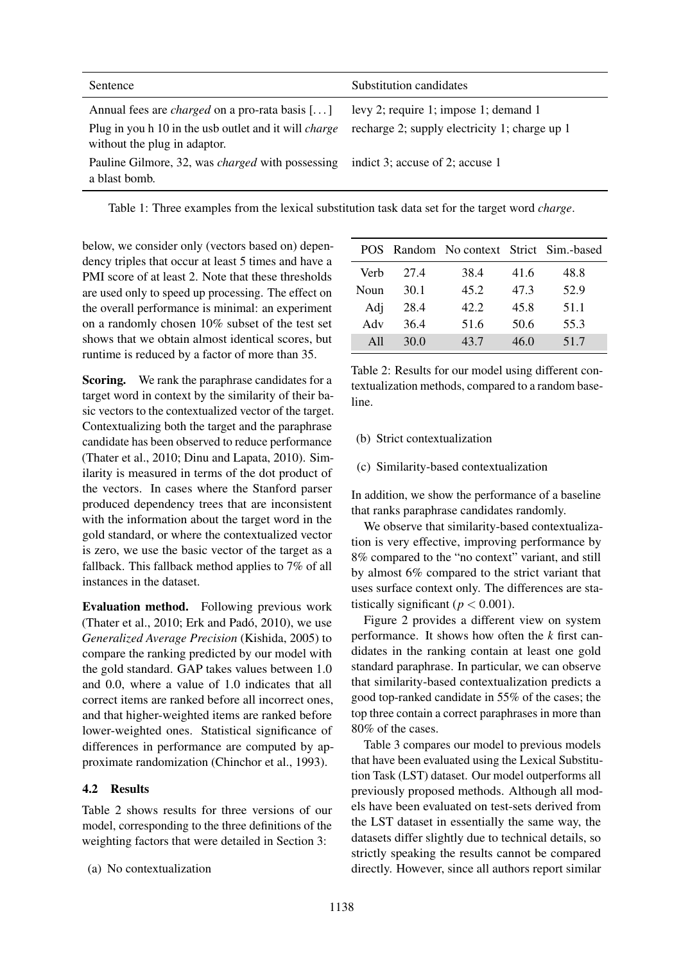| Sentence                                                                                                                                              | Substitution candidates                                                                |
|-------------------------------------------------------------------------------------------------------------------------------------------------------|----------------------------------------------------------------------------------------|
| Annual fees are <i>charged</i> on a pro-rata basis []<br>Plug in you h 10 in the usb outlet and it will <i>charge</i><br>without the plug in adaptor. | levy 2; require 1; impose 1; demand 1<br>recharge 2; supply electricity 1; charge up 1 |
| Pauline Gilmore, 32, was <i>charged</i> with possessing<br>a blast bomb.                                                                              | indict 3; accuse of 2; accuse 1                                                        |

Table 1: Three examples from the lexical substitution task data set for the target word *charge*.

below, we consider only (vectors based on) dependency triples that occur at least 5 times and have a PMI score of at least 2. Note that these thresholds are used only to speed up processing. The effect on the overall performance is minimal: an experiment on a randomly chosen 10% subset of the test set shows that we obtain almost identical scores, but runtime is reduced by a factor of more than 35.

Scoring. We rank the paraphrase candidates for a target word in context by the similarity of their basic vectors to the contextualized vector of the target. Contextualizing both the target and the paraphrase candidate has been observed to reduce performance (Thater et al., 2010; Dinu and Lapata, 2010). Similarity is measured in terms of the dot product of the vectors. In cases where the Stanford parser produced dependency trees that are inconsistent with the information about the target word in the gold standard, or where the contextualized vector is zero, we use the basic vector of the target as a fallback. This fallback method applies to 7% of all instances in the dataset.

Evaluation method. Following previous work (Thater et al., 2010; Erk and Padó, 2010), we use *Generalized Average Precision* (Kishida, 2005) to compare the ranking predicted by our model with the gold standard. GAP takes values between 1.0 and 0.0, where a value of 1.0 indicates that all correct items are ranked before all incorrect ones, and that higher-weighted items are ranked before lower-weighted ones. Statistical significance of differences in performance are computed by approximate randomization (Chinchor et al., 1993).

## 4.2 Results

Table 2 shows results for three versions of our model, corresponding to the three definitions of the weighting factors that were detailed in Section 3:

(a) No contextualization

|      |      | POS Random No context Strict Sim.-based |      |      |
|------|------|-----------------------------------------|------|------|
| Verb | 27.4 | 38.4                                    | 41.6 | 48.8 |
| Noun | 30.1 | 45.2                                    | 47.3 | 52.9 |
| Adj  | 28.4 | 42.2                                    | 45.8 | 51.1 |
| Adv  | 36.4 | 51.6                                    | 50.6 | 55.3 |
| A11  | 30.0 | 43.7                                    | 46.0 | 51.7 |

Table 2: Results for our model using different contextualization methods, compared to a random baseline.

- (b) Strict contextualization
- (c) Similarity-based contextualization

In addition, we show the performance of a baseline that ranks paraphrase candidates randomly.

We observe that similarity-based contextualization is very effective, improving performance by 8% compared to the "no context" variant, and still by almost 6% compared to the strict variant that uses surface context only. The differences are statistically significant ( $p < 0.001$ ).

Figure 2 provides a different view on system performance. It shows how often the *k* first candidates in the ranking contain at least one gold standard paraphrase. In particular, we can observe that similarity-based contextualization predicts a good top-ranked candidate in 55% of the cases; the top three contain a correct paraphrases in more than 80% of the cases.

Table 3 compares our model to previous models that have been evaluated using the Lexical Substitution Task (LST) dataset. Our model outperforms all previously proposed methods. Although all models have been evaluated on test-sets derived from the LST dataset in essentially the same way, the datasets differ slightly due to technical details, so strictly speaking the results cannot be compared directly. However, since all authors report similar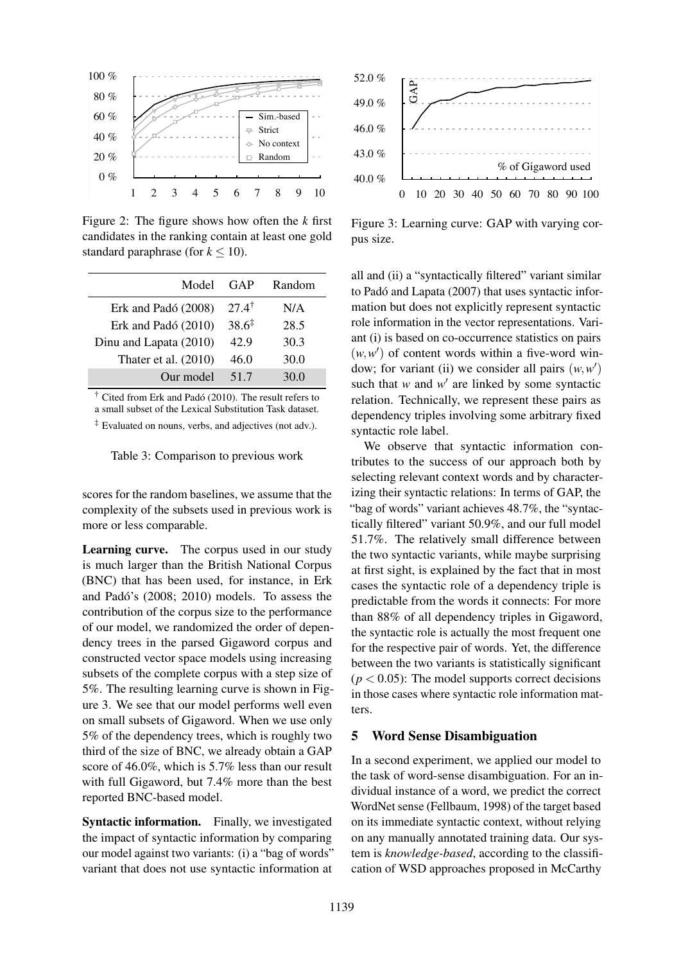

Figure 2: The figure shows how often the *k* first candidates in the ranking contain at least one gold standard paraphrase (for  $k \leq 10$ ).

| Model                  | GAP               | Random |
|------------------------|-------------------|--------|
| Erk and Padó (2008)    | $27.4^{\dagger}$  | N/A    |
| Erk and Padó $(2010)$  | $38.6^{\ddagger}$ | 28.5   |
| Dinu and Lapata (2010) | 42.9              | 30.3   |
| Thater et al. $(2010)$ | 46.0              | 30.0   |
| Our model              | 51.7              | 30.0   |

† Cited from Erk and Padó (2010). The result refers to **35** a small subset of the Lexical Substitution Task dataset. **40**

‡ Evaluated on nouns, verbs, and adjectives (not adv.). **45**

Table 3: Comparison to previous work

scores for the random baselines, we assume that the complexity of the subsets used in previous work is more or less comparable. **75**

Learning curve. The corpus used in our study is much larger than the British National Corpus (BNC) that has been used, for instance, in Erk and Padó's (2008; 2010) models. To assess the contribution of the corpus size to the performance of our model, we randomized the order of dependency trees in the parsed Gigaword corpus and constructed vector space models using increasing subsets of the complete corpus with a step size of 5%. The resulting learning curve is shown in Figure 3. We see that our model performs well even on small subsets of Gigaword. When we use only 5% of the dependency trees, which is roughly two third of the size of BNC, we already obtain a GAP score of 46.0%, which is 5.7% less than our result with full Gigaword, but 7.4% more than the best reported BNC-based model.

Syntactic information. Finally, we investigated the impact of syntactic information by comparing our model against two variants: (i) a "bag of words" variant that does not use syntactic information at



Figure 3: Learning curve: GAP with varying corpus size.

all and (ii) a "syntactically filtered" variant similar mation but does not explicitly represent syntactic role information in the vector representations. Variant (i) is based on co-occurrence statistics on pairs  $(w, w')$  of content words within a five-word window; for variant (ii) we consider all pairs  $(w, w')$ such that  $w$  and  $w'$  are linked by some syntactic relation. Technically, we represent these pairs as dependency triples involving some arbitrary fixed syntactic role label. to Padó and Lapata (2007) that uses syntactic infor-

We observe that syntactic information contributes to the success of our approach both by selecting relevant context words and by characterizing their syntactic relations: In terms of GAP, the "bag of words" variant achieves 48.7%, the "syntactically filtered" variant 50.9%, and our full model 10463745800 94.12 % 51.7%, and surface hetween the two syntactic variants, while maybe surprising at first sight, is explained by the fact that in most cases the syntactic role of a dependency triple is predictable from the words it connects: For more than 88% of all dependency triples in Gigaword, the syntactic role is actually the most frequent one for the respective pair of words. Yet, the difference between the two variants is statistically significant  $(p < 0.05)$ : The model supports correct decisions in those cases where syntactic role information matters.

### 5 Word Sense Disambiguation

In a second experiment, we applied our model to the task of word-sense disambiguation. For an individual instance of a word, we predict the correct WordNet sense (Fellbaum, 1998) of the target based on its immediate syntactic context, without relying on any manually annotated training data. Our system is *knowledge-based*, according to the classification of WSD approaches proposed in McCarthy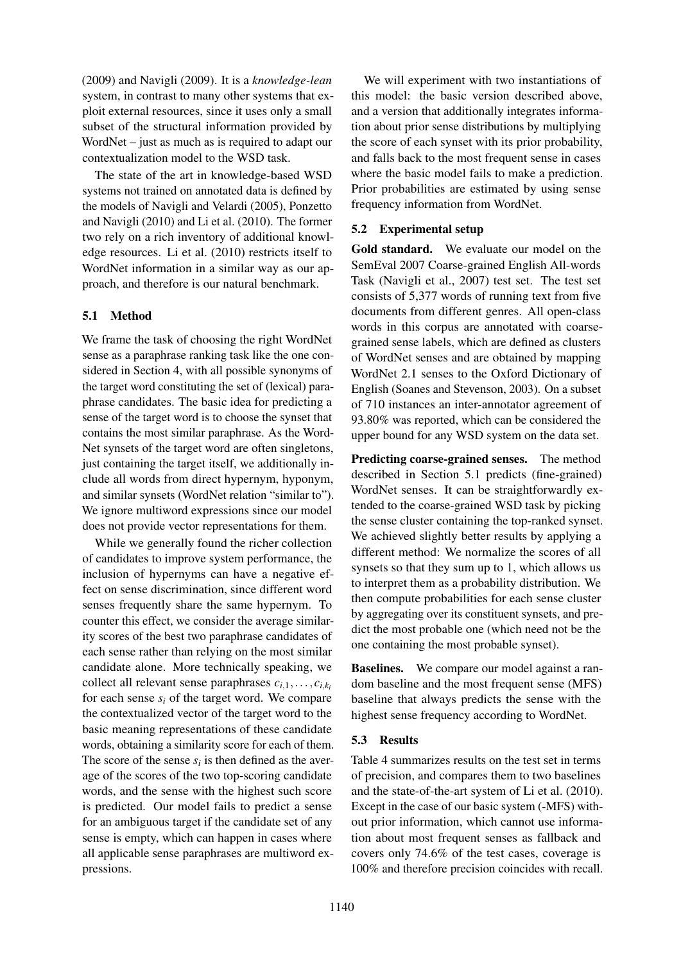(2009) and Navigli (2009). It is a *knowledge-lean* system, in contrast to many other systems that exploit external resources, since it uses only a small subset of the structural information provided by WordNet – just as much as is required to adapt our contextualization model to the WSD task.

The state of the art in knowledge-based WSD systems not trained on annotated data is defined by the models of Navigli and Velardi (2005), Ponzetto and Navigli (2010) and Li et al. (2010). The former two rely on a rich inventory of additional knowledge resources. Li et al. (2010) restricts itself to WordNet information in a similar way as our approach, and therefore is our natural benchmark.

### 5.1 Method

We frame the task of choosing the right WordNet sense as a paraphrase ranking task like the one considered in Section 4, with all possible synonyms of the target word constituting the set of (lexical) paraphrase candidates. The basic idea for predicting a sense of the target word is to choose the synset that contains the most similar paraphrase. As the Word-Net synsets of the target word are often singletons, just containing the target itself, we additionally include all words from direct hypernym, hyponym, and similar synsets (WordNet relation "similar to"). We ignore multiword expressions since our model does not provide vector representations for them.

While we generally found the richer collection of candidates to improve system performance, the inclusion of hypernyms can have a negative effect on sense discrimination, since different word senses frequently share the same hypernym. To counter this effect, we consider the average similarity scores of the best two paraphrase candidates of each sense rather than relying on the most similar candidate alone. More technically speaking, we collect all relevant sense paraphrases  $c_i_1, \ldots, c_i_k$ for each sense  $s_i$  of the target word. We compare the contextualized vector of the target word to the basic meaning representations of these candidate words, obtaining a similarity score for each of them. The score of the sense  $s_i$  is then defined as the average of the scores of the two top-scoring candidate words, and the sense with the highest such score is predicted. Our model fails to predict a sense for an ambiguous target if the candidate set of any sense is empty, which can happen in cases where all applicable sense paraphrases are multiword expressions.

We will experiment with two instantiations of this model: the basic version described above, and a version that additionally integrates information about prior sense distributions by multiplying the score of each synset with its prior probability, and falls back to the most frequent sense in cases where the basic model fails to make a prediction. Prior probabilities are estimated by using sense frequency information from WordNet.

### 5.2 Experimental setup

Gold standard. We evaluate our model on the SemEval 2007 Coarse-grained English All-words Task (Navigli et al., 2007) test set. The test set consists of 5,377 words of running text from five documents from different genres. All open-class words in this corpus are annotated with coarsegrained sense labels, which are defined as clusters of WordNet senses and are obtained by mapping WordNet 2.1 senses to the Oxford Dictionary of English (Soanes and Stevenson, 2003). On a subset of 710 instances an inter-annotator agreement of 93.80% was reported, which can be considered the upper bound for any WSD system on the data set.

Predicting coarse-grained senses. The method described in Section 5.1 predicts (fine-grained) WordNet senses. It can be straightforwardly extended to the coarse-grained WSD task by picking the sense cluster containing the top-ranked synset. We achieved slightly better results by applying a different method: We normalize the scores of all synsets so that they sum up to 1, which allows us to interpret them as a probability distribution. We then compute probabilities for each sense cluster by aggregating over its constituent synsets, and predict the most probable one (which need not be the one containing the most probable synset).

Baselines. We compare our model against a random baseline and the most frequent sense (MFS) baseline that always predicts the sense with the highest sense frequency according to WordNet.

## 5.3 Results

Table 4 summarizes results on the test set in terms of precision, and compares them to two baselines and the state-of-the-art system of Li et al. (2010). Except in the case of our basic system (-MFS) without prior information, which cannot use information about most frequent senses as fallback and covers only 74.6% of the test cases, coverage is 100% and therefore precision coincides with recall.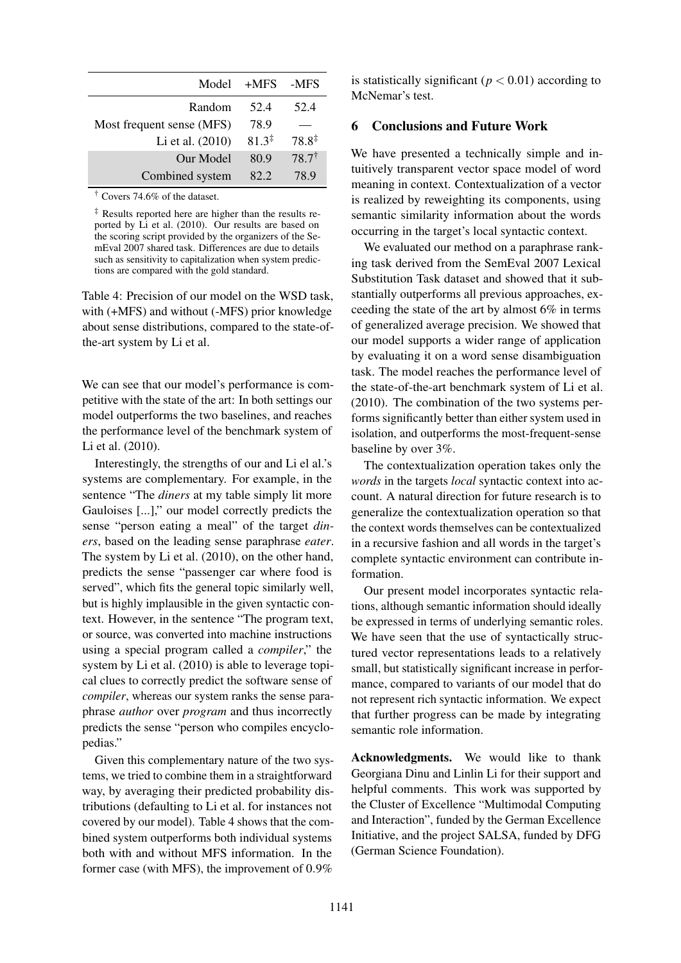| Model                     | $+MFS$            | -MFS              |
|---------------------------|-------------------|-------------------|
| Random                    | 52.4              | 52.4              |
| Most frequent sense (MFS) | 78.9              |                   |
| Li et al. (2010)          | $81.3^{\ddagger}$ | $78.8^{\ddagger}$ |
| Our Model                 | 80.9              | $78.7^{\dagger}$  |
| Combined system           | 82.2              | 78.9              |

† Covers 74.6% of the dataset.

‡ Results reported here are higher than the results reported by Li et al. (2010). Our results are based on the scoring script provided by the organizers of the SemEval 2007 shared task. Differences are due to details such as sensitivity to capitalization when system predictions are compared with the gold standard.

Table 4: Precision of our model on the WSD task, with (+MFS) and without (-MFS) prior knowledge about sense distributions, compared to the state-ofthe-art system by Li et al.

We can see that our model's performance is competitive with the state of the art: In both settings our model outperforms the two baselines, and reaches the performance level of the benchmark system of Li et al. (2010).

Interestingly, the strengths of our and Li el al.'s systems are complementary. For example, in the sentence "The *diners* at my table simply lit more Gauloises [...]," our model correctly predicts the sense "person eating a meal" of the target *diners*, based on the leading sense paraphrase *eater*. The system by Li et al. (2010), on the other hand, predicts the sense "passenger car where food is served", which fits the general topic similarly well, but is highly implausible in the given syntactic context. However, in the sentence "The program text, or source, was converted into machine instructions using a special program called a *compiler*," the system by Li et al. (2010) is able to leverage topical clues to correctly predict the software sense of *compiler*, whereas our system ranks the sense paraphrase *author* over *program* and thus incorrectly predicts the sense "person who compiles encyclopedias."

Given this complementary nature of the two systems, we tried to combine them in a straightforward way, by averaging their predicted probability distributions (defaulting to Li et al. for instances not covered by our model). Table 4 shows that the combined system outperforms both individual systems both with and without MFS information. In the former case (with MFS), the improvement of 0.9% is statistically significant ( $p < 0.01$ ) according to McNemar's test.

### 6 Conclusions and Future Work

We have presented a technically simple and intuitively transparent vector space model of word meaning in context. Contextualization of a vector is realized by reweighting its components, using semantic similarity information about the words occurring in the target's local syntactic context.

We evaluated our method on a paraphrase ranking task derived from the SemEval 2007 Lexical Substitution Task dataset and showed that it substantially outperforms all previous approaches, exceeding the state of the art by almost 6% in terms of generalized average precision. We showed that our model supports a wider range of application by evaluating it on a word sense disambiguation task. The model reaches the performance level of the state-of-the-art benchmark system of Li et al. (2010). The combination of the two systems performs significantly better than either system used in isolation, and outperforms the most-frequent-sense baseline by over 3%.

The contextualization operation takes only the *words* in the targets *local* syntactic context into account. A natural direction for future research is to generalize the contextualization operation so that the context words themselves can be contextualized in a recursive fashion and all words in the target's complete syntactic environment can contribute information.

Our present model incorporates syntactic relations, although semantic information should ideally be expressed in terms of underlying semantic roles. We have seen that the use of syntactically structured vector representations leads to a relatively small, but statistically significant increase in performance, compared to variants of our model that do not represent rich syntactic information. We expect that further progress can be made by integrating semantic role information.

Acknowledgments. We would like to thank Georgiana Dinu and Linlin Li for their support and helpful comments. This work was supported by the Cluster of Excellence "Multimodal Computing and Interaction", funded by the German Excellence Initiative, and the project SALSA, funded by DFG (German Science Foundation).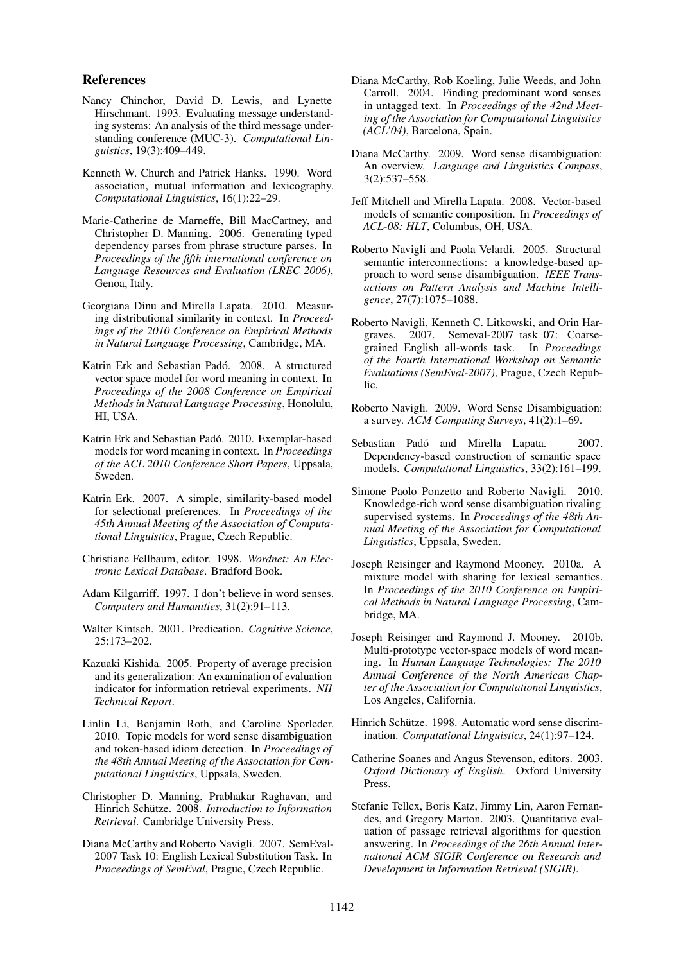#### References

- Nancy Chinchor, David D. Lewis, and Lynette Hirschmant. 1993. Evaluating message understanding systems: An analysis of the third message understanding conference (MUC-3). *Computational Linguistics*, 19(3):409–449.
- Kenneth W. Church and Patrick Hanks. 1990. Word association, mutual information and lexicography. *Computational Linguistics*, 16(1):22–29.
- Marie-Catherine de Marneffe, Bill MacCartney, and Christopher D. Manning. 2006. Generating typed dependency parses from phrase structure parses. In *Proceedings of the fifth international conference on Language Resources and Evaluation (LREC 2006)*, Genoa, Italy.
- Georgiana Dinu and Mirella Lapata. 2010. Measuring distributional similarity in context. In *Proceedings of the 2010 Conference on Empirical Methods in Natural Language Processing*, Cambridge, MA.
- Katrin Erk and Sebastian Padó. 2008. A structured vector space model for word meaning in context. In *Proceedings of the 2008 Conference on Empirical Methods in Natural Language Processing*, Honolulu, HI, USA.
- Katrin Erk and Sebastian Padó. 2010. Exemplar-based models for word meaning in context. In *Proceedings of the ACL 2010 Conference Short Papers*, Uppsala, Sweden.
- Katrin Erk. 2007. A simple, similarity-based model for selectional preferences. In *Proceedings of the 45th Annual Meeting of the Association of Computational Linguistics*, Prague, Czech Republic.
- Christiane Fellbaum, editor. 1998. *Wordnet: An Electronic Lexical Database*. Bradford Book.
- Adam Kilgarriff. 1997. I don't believe in word senses. *Computers and Humanities*, 31(2):91–113.
- Walter Kintsch. 2001. Predication. *Cognitive Science*, 25:173–202.
- Kazuaki Kishida. 2005. Property of average precision and its generalization: An examination of evaluation indicator for information retrieval experiments. *NII Technical Report*.
- Linlin Li, Benjamin Roth, and Caroline Sporleder. 2010. Topic models for word sense disambiguation and token-based idiom detection. In *Proceedings of the 48th Annual Meeting of the Association for Computational Linguistics*, Uppsala, Sweden.
- Christopher D. Manning, Prabhakar Raghavan, and Hinrich Schütze. 2008. *Introduction to Information Retrieval*. Cambridge University Press.
- Diana McCarthy and Roberto Navigli. 2007. SemEval-2007 Task 10: English Lexical Substitution Task. In *Proceedings of SemEval*, Prague, Czech Republic.
- Diana McCarthy, Rob Koeling, Julie Weeds, and John Carroll. 2004. Finding predominant word senses in untagged text. In *Proceedings of the 42nd Meeting of the Association for Computational Linguistics (ACL'04)*, Barcelona, Spain.
- Diana McCarthy. 2009. Word sense disambiguation: An overview. *Language and Linguistics Compass*, 3(2):537–558.
- Jeff Mitchell and Mirella Lapata. 2008. Vector-based models of semantic composition. In *Proceedings of ACL-08: HLT*, Columbus, OH, USA.
- Roberto Navigli and Paola Velardi. 2005. Structural semantic interconnections: a knowledge-based approach to word sense disambiguation. *IEEE Transactions on Pattern Analysis and Machine Intelligence*, 27(7):1075–1088.
- Roberto Navigli, Kenneth C. Litkowski, and Orin Hargraves. 2007. Semeval-2007 task 07: Coarsegrained English all-words task. In *Proceedings of the Fourth International Workshop on Semantic Evaluations (SemEval-2007)*, Prague, Czech Republic.
- Roberto Navigli. 2009. Word Sense Disambiguation: a survey. *ACM Computing Surveys*, 41(2):1–69.
- Sebastian Padó and Mirella Lapata. 2007. Dependency-based construction of semantic space models. *Computational Linguistics*, 33(2):161–199.
- Simone Paolo Ponzetto and Roberto Navigli. 2010. Knowledge-rich word sense disambiguation rivaling supervised systems. In *Proceedings of the 48th Annual Meeting of the Association for Computational Linguistics*, Uppsala, Sweden.
- Joseph Reisinger and Raymond Mooney. 2010a. A mixture model with sharing for lexical semantics. In *Proceedings of the 2010 Conference on Empirical Methods in Natural Language Processing*, Cambridge, MA.
- Joseph Reisinger and Raymond J. Mooney. 2010b. Multi-prototype vector-space models of word meaning. In *Human Language Technologies: The 2010 Annual Conference of the North American Chapter of the Association for Computational Linguistics*, Los Angeles, California.
- Hinrich Schütze. 1998. Automatic word sense discrimination. *Computational Linguistics*, 24(1):97–124.
- Catherine Soanes and Angus Stevenson, editors. 2003. *Oxford Dictionary of English*. Oxford University Press.
- Stefanie Tellex, Boris Katz, Jimmy Lin, Aaron Fernandes, and Gregory Marton. 2003. Quantitative evaluation of passage retrieval algorithms for question answering. In *Proceedings of the 26th Annual International ACM SIGIR Conference on Research and Development in Information Retrieval (SIGIR)*.